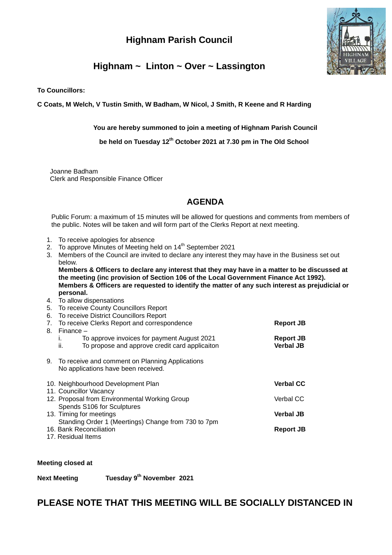# **Highnam Parish Council**



# **Highnam ~ Linton ~ Over ~ Lassington**

**To Councillors:**

**C Coats, M Welch, V Tustin Smith, W Badham, W Nicol, J Smith, R Keene and R Harding** 

**You are hereby summoned to join a meeting of Highnam Parish Council**

 **be held on Tuesday 12th October 2021 at 7.30 pm in The Old School**

 Joanne Badham Clerk and Responsible Finance Officer

### **AGENDA**

Public Forum: a maximum of 15 minutes will be allowed for questions and comments from members of the public. Notes will be taken and will form part of the Clerks Report at next meeting.

- 1. To receive apologies for absence
- 2. To approve Minutes of Meeting held on 14<sup>th</sup> September 2021
- 3. Members of the Council are invited to declare any interest they may have in the Business set out below.

**Members & Officers to declare any interest that they may have in a matter to be discussed at the meeting (inc provision of Section 106 of the Local Government Finance Act 1992). Members & Officers are requested to identify the matter of any such interest as prejudicial or personal.**

- 4. To allow dispensations
- 5. To receive County Councillors Report
- 6. To receive District Councillors Report

|      | 7. To receive Clerks Report and correspondence                                                                       | Report JB                            |
|------|----------------------------------------------------------------------------------------------------------------------|--------------------------------------|
| 8. . | $Financee -$<br>To approve invoices for payment August 2021<br>To propose and approve credit card applicaiton<br>ii. | <b>Report JB</b><br><b>Verbal JB</b> |
| 9.   | To receive and comment on Planning Applications<br>No applications have been received.                               |                                      |

| 10. Neighbourhood Development Plan<br>11. Councillor Vacancy                   | <b>Verbal CC</b> |
|--------------------------------------------------------------------------------|------------------|
| 12. Proposal from Environmental Working Group                                  | Verbal CC        |
| Spends S106 for Sculptures<br>13. Timing for meetings                          | <b>Verbal JB</b> |
| Standing Order 1 (Meertings) Change from 730 to 7pm<br>16. Bank Reconciliation | <b>Report JB</b> |

17. Residual Items

#### **Meeting closed at**

**Next Meeting th November 2021** 

## **PLEASE NOTE THAT THIS MEETING WILL BE SOCIALLY DISTANCED IN**